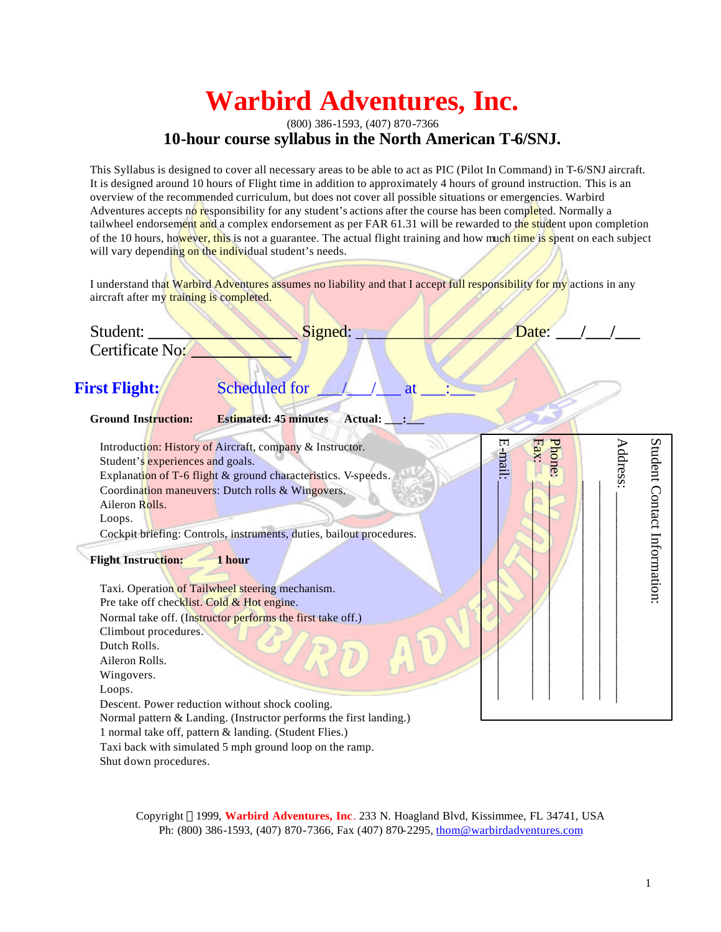# **Warbird Adventures, Inc.**

## (800) 386-1593, (407) 870-7366 **10-hour course syllabus in the North American T-6/SNJ.**

This Syllabus is designed to cover all necessary areas to be able to act as PIC (Pilot In Command) in T-6/SNJ aircraft. It is designed around 10 hours of Flight time in addition to approximately 4 hours of ground instruction. This is an overview of the recommended curriculum, but does not cover all possible situations or emergencies. Warbird Adventures accepts no responsibility for any student's actions after the course has been completed. Normally a tailwheel endorsement and a complex endorsement as per FAR 61.31 will be rewarded to the student upon completion of the 10 hours, however, this is not a guarantee. The actual flight training and how much time is spent on each subject will vary depending on the individual student's needs.

I understand that Warbird Adventures assumes no liability and that I accept full responsibility for my actions in any aircraft after my training is completed.

Student: **\_\_\_\_\_\_\_\_\_\_\_\_\_\_\_\_\_\_** Signed: \_\_\_\_\_\_\_\_\_\_\_\_\_\_\_\_\_\_\_ Date: **\_\_\_/\_\_\_/\_\_\_** Certificate No: **\_\_\_\_\_\_\_\_\_\_\_\_**

## **First Flight:** Scheduled for  $\frac{1}{2}$  at

## **Ground Instruction: Estimated: 45 minutes Actual: \_\_\_:\_\_\_**

E-mail: Student Contact Information: \_\_\_\_\_\_\_\_\_\_\_\_\_\_\_\_\_\_\_\_\_\_\_\_\_\_\_\_\_\_\_ \_\_\_\_\_\_\_\_\_\_\_\_\_\_\_\_\_\_\_\_\_\_\_\_\_\_\_\_\_\_\_ Phone: \_\_\_\_\_\_\_\_\_\_\_\_\_\_\_\_\_\_\_\_\_\_\_\_\_\_\_\_\_\_\_ Fax: \_\_\_\_\_\_\_\_\_\_\_\_\_\_\_\_\_\_\_\_\_\_\_\_\_\_\_\_\_\_\_  ${\bf Address:}$  Introduction: History of Aircraft, company & Instructor. -mail: Student's experiences and goals. Explanation of T-6 flight & ground characteristics. V-speeds. Coordination maneuvers: Dutch rolls & Wingovers. Aileron Rolls. Loops. Cockpit briefing: Controls, instruments, duties, bailout procedures. **Flight Instruction: 1 hour**  Taxi. Operation of Tailwheel steering mechanism. Pre take off checklist. Cold & Hot engine. Normal take off. (Instructor performs the first take off.) Climbout procedures. Dutch Rolls. Aileron Rolls. Wingovers. Loops. Descent. Power reduction without shock cooling. Normal pattern & Landing. (Instructor performs the first landing.) 1 normal take off, pattern & landing. (Student Flies.)

 Taxi back with simulated 5 mph ground loop on the ramp. Shut down procedures.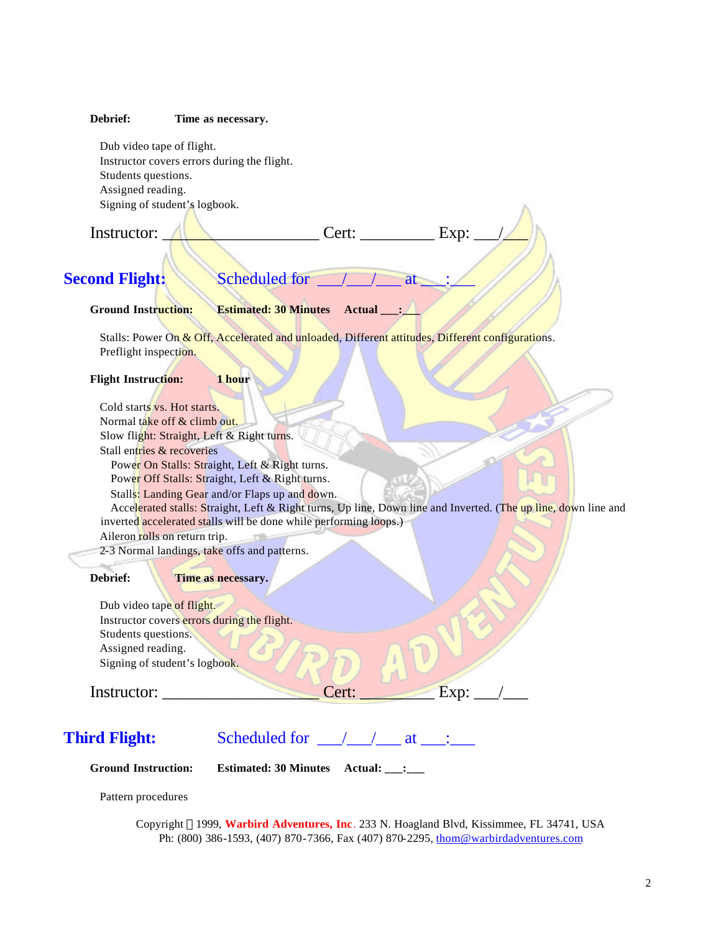### **Debrief: Time as necessary.**

 Dub video tape of flight. Instructor covers errors during the flight. Students questions. Assigned reading. Signing of student's logbook.

**Second Flight:** Scheduled for \_\_\_/\_\_\_/\_\_\_ at \_\_\_:\_\_\_

 $[$  Instructor:  $\overline{\bigwedge}$   $\overline{\bigcup}$   $\overline{\bigcup}$  Cert:  $\overline{\bigcup}$  Exp:

**Ground Instruction: Estimated: 30 Minutes Actual \_\_\_:\_\_\_**

Stalls: Power On & Off, Accelerated and unloaded, Different attitudes, Different configurations. Preflight inspection.

### **Flight Instruction: 1 hour**

 Cold starts vs. Hot starts. Normal take off & climb out. Slow flight: Straight, Left & Right turns. Stall entries & recoveries Power On Stalls: Straight, Left & Right turns. Power Off Stalls: Straight, Left & Right turns. Stalls: Landing Gear and/or Flaps up and down. Accelerated stalls: Straight, Left & Right turns, Up line, Down line and Inverted. (The up line, down line and inverted accelerated stalls will be done while performing loops.) Aileron rolls on return trip.

2-3 Normal landings, take offs and patterns.

**Debrief: Time as necessary.**

| Dub video tape of flight.                   |                      |      |
|---------------------------------------------|----------------------|------|
| Instructor covers errors during the flight. |                      |      |
| Students questions.                         |                      |      |
| Assigned reading.                           |                      |      |
| Signing of student's logbook.               |                      |      |
|                                             |                      |      |
| Instructor:                                 | $\gamma$ ert $\cdot$ | Exp: |

## **Third Flight:** Scheduled for <u>\_\_\_/\_\_\_/\_\_\_</u> at \_\_\_:

**Ground Instruction: Estimated: 30 Minutes Actual: \_\_\_:\_\_\_**

Pattern procedures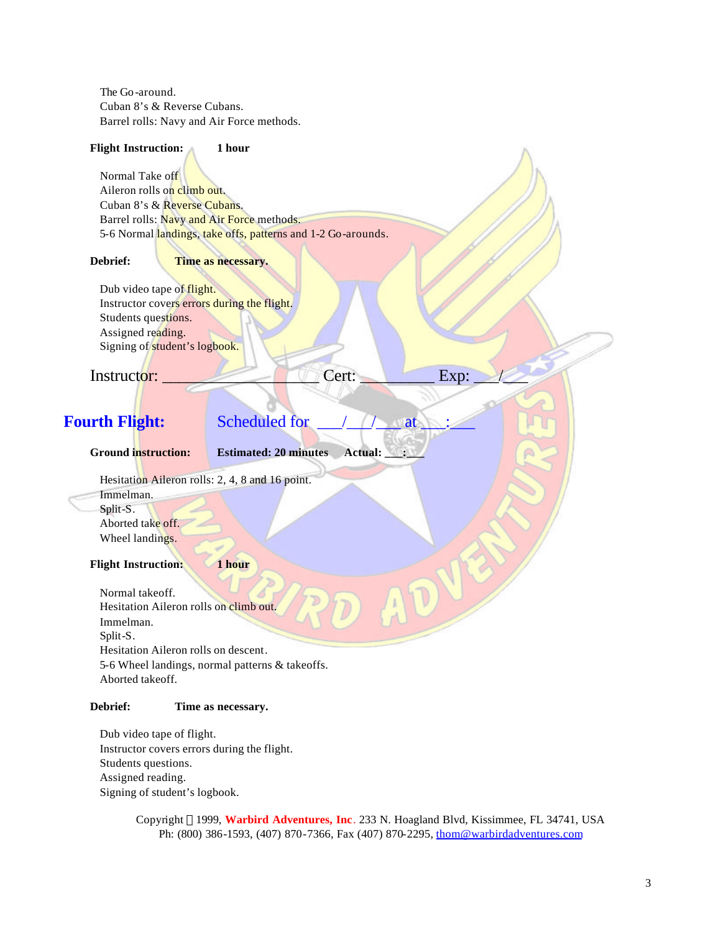The Go-around. Cuban 8's & Reverse Cubans. Barrel rolls: Navy and Air Force methods.

## **Flight Instruction: 1 hour** Normal Take off Aileron rolls on climb out. Cuban 8's & Reverse Cubans. Barrel rolls: Navy and Air Force methods. 5-6 Normal landings, take offs, patterns and 1-2 Go-arounds. **Debrief: Time as necessary.** Dub video tape of flight. Instructor covers errors during the flight. Students questions. Assigned reading. Signing of student's logbook. Instructor: Exp: **Fourth Flight:** Scheduled for <u>11/2</u> at **Ground instruction: Estimated: 20 minutes Actual: \_\_\_:\_\_\_** Hesitation Aileron rolls: 2, 4, 8 and 16 point. Immelman. Split-S. Aborted take off. Wheel landings. **Flight Instruction: 1 hour** Normal takeoff. Hesitation Aileron rolls on climb out. Immelman. Split-S. Hesitation Aileron rolls on descent. 5-6 Wheel landings, normal patterns & takeoffs. Aborted takeoff.

## **Debrief: Time as necessary.**

 Dub video tape of flight. Instructor covers errors during the flight. Students questions. Assigned reading. Signing of student's logbook.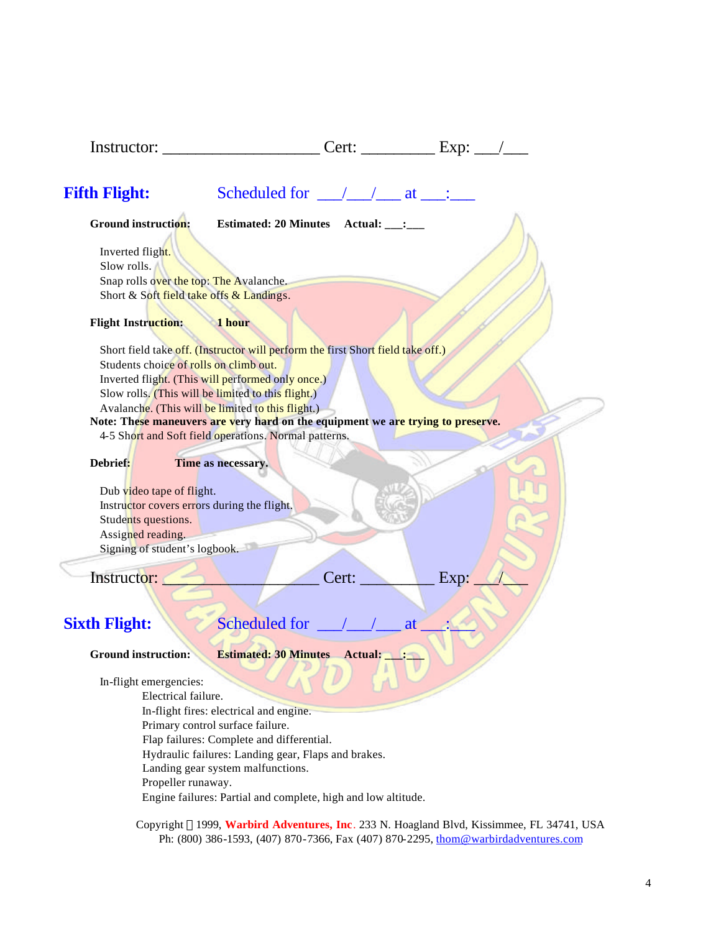| Instructor:                                 |                                                                                                         |       | Cert: $\begin{array}{c} \begin{array}{c} \text{L} \\ \text{L} \end{array} \end{array}$ |  |
|---------------------------------------------|---------------------------------------------------------------------------------------------------------|-------|----------------------------------------------------------------------------------------|--|
| <b>Fifth Flight:</b>                        | Scheduled for $\angle$ $\angle$ $\angle$ at $\angle$ :                                                  |       |                                                                                        |  |
| <b>Ground instruction:</b>                  | Estimated: 20 Minutes Actual: __: ___                                                                   |       |                                                                                        |  |
| Inverted flight.                            |                                                                                                         |       |                                                                                        |  |
| Slow rolls.                                 |                                                                                                         |       |                                                                                        |  |
| Snap rolls over the top: The Avalanche.     |                                                                                                         |       |                                                                                        |  |
| Short & Soft field take offs & Landings.    |                                                                                                         |       |                                                                                        |  |
| <b>Flight Instruction:</b>                  | 1 hour                                                                                                  |       |                                                                                        |  |
|                                             | Short field take off. (Instructor will perform the first Short field take off.)                         |       |                                                                                        |  |
| Students choice of rolls on climb out.      |                                                                                                         |       |                                                                                        |  |
|                                             | Inverted flight. (This will performed only once.)                                                       |       |                                                                                        |  |
|                                             | Slow rolls. (This will be limited to this flight.)<br>Avalanche. (This will be limited to this flight.) |       |                                                                                        |  |
|                                             | Note: These maneuvers are very hard on the equipment we are trying to preserve.                         |       |                                                                                        |  |
|                                             | 4-5 Short and Soft field operations. Normal patterns.                                                   |       |                                                                                        |  |
| Debrief:                                    | Time as necessary.                                                                                      |       |                                                                                        |  |
| Dub video tape of flight.                   |                                                                                                         |       |                                                                                        |  |
| Instructor covers errors during the flight. |                                                                                                         |       |                                                                                        |  |
| Students questions.                         |                                                                                                         |       |                                                                                        |  |
| Assigned reading.                           |                                                                                                         |       |                                                                                        |  |
| Signing of student's logbook.               |                                                                                                         |       |                                                                                        |  |
| Instructor:                                 |                                                                                                         | Cert: | Exp:                                                                                   |  |
|                                             |                                                                                                         |       |                                                                                        |  |
|                                             |                                                                                                         |       |                                                                                        |  |
| <b>Sixth Flight:</b>                        | Scheduled for $\frac{\sqrt{1-\lambda}}{\sqrt{1-\lambda}}$                                               |       | at                                                                                     |  |
| <b>Ground instruction:</b>                  | <b>Estimated: 30 Minutes Actual: __: __:</b>                                                            |       |                                                                                        |  |
| In-flight emergencies:                      |                                                                                                         |       |                                                                                        |  |
| Electrical failure.                         |                                                                                                         |       |                                                                                        |  |
|                                             | In-flight fires: electrical and engine.                                                                 |       |                                                                                        |  |
|                                             | Primary control surface failure.                                                                        |       |                                                                                        |  |
|                                             | Flap failures: Complete and differential.<br>Hydraulic failures: Landing gear, Flaps and brakes.        |       |                                                                                        |  |
|                                             | Landing gear system malfunctions.                                                                       |       |                                                                                        |  |
| Propeller runaway.                          |                                                                                                         |       |                                                                                        |  |
|                                             | Engine failures: Partial and complete, high and low altitude.                                           |       |                                                                                        |  |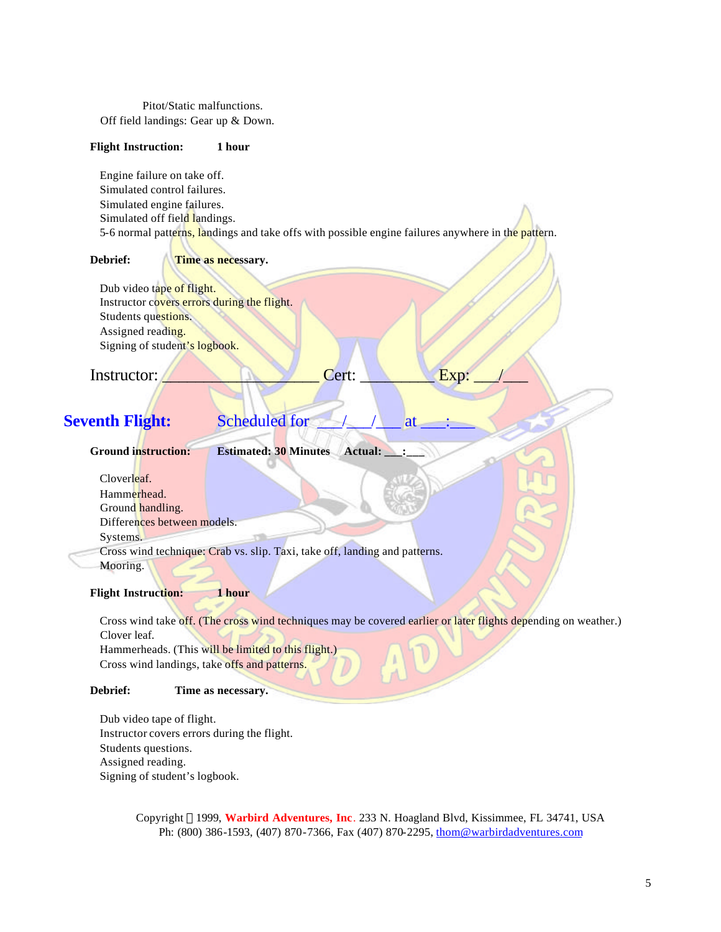Pitot/Static malfunctions. Off field landings: Gear up & Down.

### **Flight Instruction: 1 hour**

 Engine failure on take off. Simulated control failures. Simulated engine failures. Simulated off field landings. 5-6 normal patterns, landings and take offs with possible engine failures anywhere in the pattern.

**Debrief: Time as necessary.** 

Dub video tape of flight. Instructor covers errors during the flight. Students questions. Assigned reading. Signing of student's logbook.

Instructor:  $\blacksquare$ 

## **Seventh Flight:** Scheduled for <u>1996</u> Seventh Flight:

**Ground instruction: Estimated: 30 Minutes Actual: \_\_\_:\_\_\_**

 Cloverleaf. Hammerhead. Ground handling. Differences between models. Systems. Cross wind technique: Crab vs. slip. Taxi, take off, landing and patterns. Mooring.

**Flight Instruction: 1 hour**

 Cross wind take off. (The cross wind techniques may be covered earlier or later flights depending on weather.) Clover leaf. Hammerheads. (This will be limited to this flight.)

Cross wind landings, take offs and patterns.

## **Debrief: Time as necessary.**

 Dub video tape of flight. Instructor covers errors during the flight. Students questions. Assigned reading. Signing of student's logbook.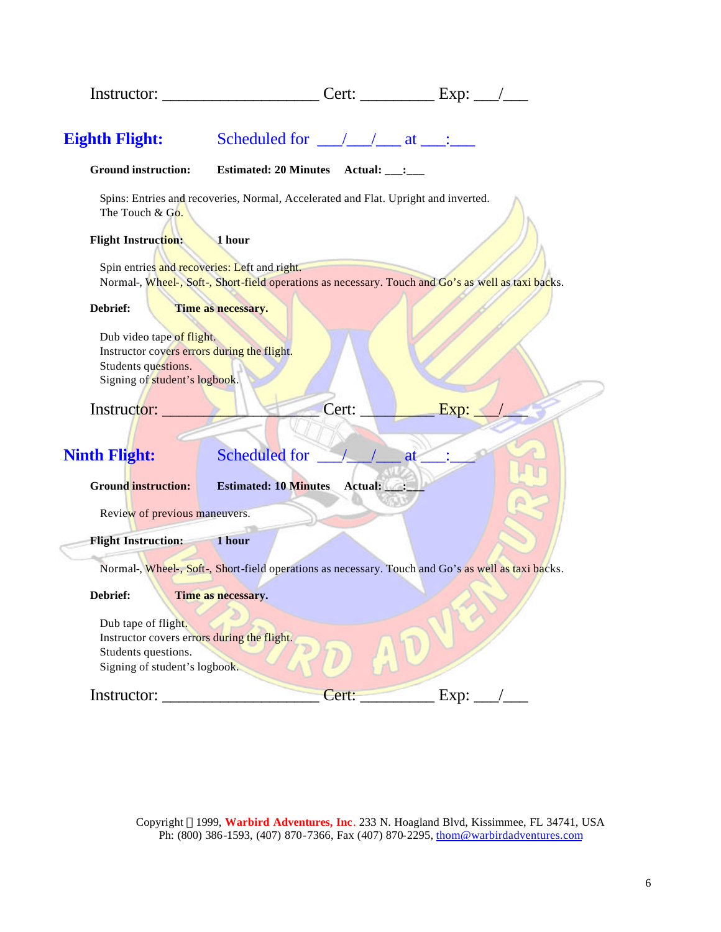| Instructor:                                                                                                                      |                                                                                                    | Cert: $\begin{array}{c c} \text{L} & \text{L} \\ \hline \end{array}$ |    |      |  |
|----------------------------------------------------------------------------------------------------------------------------------|----------------------------------------------------------------------------------------------------|----------------------------------------------------------------------|----|------|--|
| <b>Eighth Flight:</b>                                                                                                            | Scheduled for $\angle$ $\angle$ $\angle$ at $\angle$ :                                             |                                                                      |    |      |  |
| <b>Ground instruction:</b>                                                                                                       | Estimated: 20 Minutes Actual: __: ___                                                              |                                                                      |    |      |  |
| The Touch & Go.                                                                                                                  | Spins: Entries and recoveries, Normal, Accelerated and Flat. Upright and inverted.                 |                                                                      |    |      |  |
| <b>Flight Instruction:</b>                                                                                                       | 1 hour                                                                                             |                                                                      |    |      |  |
| Spin entries and recoveries: Left and right.                                                                                     | Normal-, Wheel-, Soft-, Short-field operations as necessary. Touch and Go's as well as taxi backs. |                                                                      |    |      |  |
| Debrief:                                                                                                                         | Time as necessary.                                                                                 |                                                                      |    |      |  |
| Dub video tape of flight.<br>Instructor covers errors during the flight.<br>Students questions.<br>Signing of student's logbook. |                                                                                                    |                                                                      |    |      |  |
| Instructor:                                                                                                                      |                                                                                                    | Cert:                                                                |    | Exp: |  |
| <b>Ninth Flight:</b>                                                                                                             | <b>Scheduled</b> for                                                                               |                                                                      | at |      |  |
| <b>Ground instruction:</b>                                                                                                       | <b>Estimated: 10 Minutes</b>                                                                       | Actual: __:                                                          |    |      |  |
| Review of previous maneuvers.                                                                                                    |                                                                                                    |                                                                      |    |      |  |
| <b>Flight Instruction:</b>                                                                                                       | 1 hour                                                                                             |                                                                      |    |      |  |
|                                                                                                                                  | Normal-, Wheel-, Soft-, Short-field operations as necessary. Touch and Go's as well as taxi backs. |                                                                      |    |      |  |
| Debrief:                                                                                                                         | Time as necessary.                                                                                 |                                                                      |    |      |  |
| Dub tape of flight.<br>Instructor covers errors during the flight.<br>Students questions.<br>Signing of student's logbook.       |                                                                                                    |                                                                      |    |      |  |
| Instructor:                                                                                                                      |                                                                                                    | Cert:                                                                |    | Exp: |  |